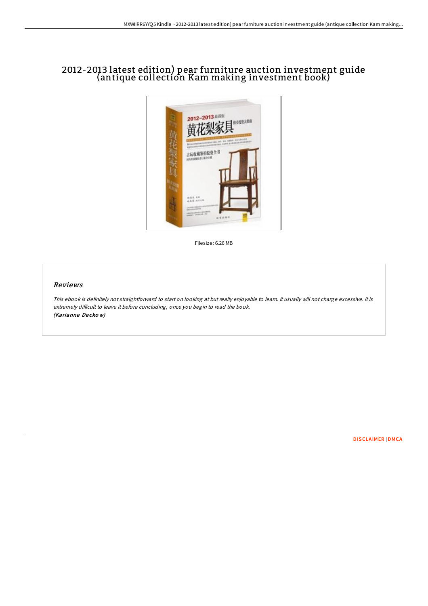## 2012-2013 latest edition) pear furniture auction investment guide (antique collection Kam making investment book)



Filesize: 6.26 MB

## Reviews

This ebook is definitely not straightforward to start on looking at but really enjoyable to learn. It usually will not charge excessive. It is extremely difficult to leave it before concluding, once you begin to read the book. (Karianne De cko w)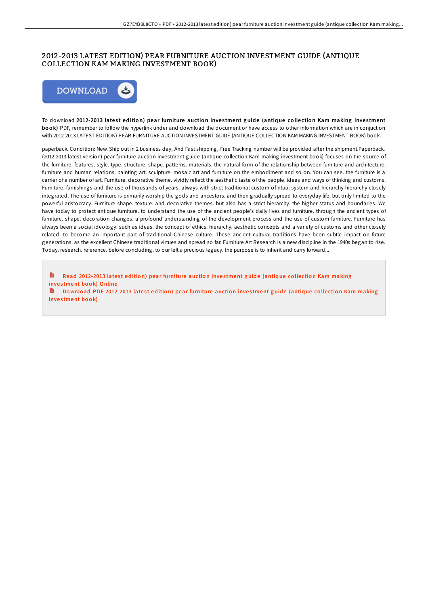## 2012-2013 LATEST EDITION) PEAR FURNITURE AUCTION INVESTMENT GUIDE (ANTIQUE COLLECTION KAM MAKING INVESTMENT BOOK)



To download 2012-2013 latest edition) pear furniture auction investment guide (antique collection Kam making investment **book**) PDF, remember to follow the hyperlink under and download the document or have access to other information which are in conjuction with 2012-2013 LATEST EDITION) PEAR FURNITURE AUCTION INVESTMENT GUIDE (ANTIQUE COLLECTION KAM MAKING INVESTMENT BOOK) book.

paperback. Condition: New. Ship out in 2 business day, And Fast shipping, Free Tracking number will be provided after the shipment. Paperback. (2012-2013 latest version) pear furniture auction investment guide (antique collection Kam making investment book) focuses on the source of the furniture. features. style. type. structure. shape. patterns. materials. the natural form of the relationship between furniture and architecture. furniture and human relations. painting art. sculpture. mosaic art and furniture on the embodiment and so on. You can see. the furniture is a carrier of a number of art. Furniture. decorative theme. vividly reflect the aesthetic taste of the people. ideas and ways of thinking and customs. Furniture. furnishings and the use of thousands of years. always with strict traditional custom of ritual system and hierarchy hierarchy closely integrated. The use of furniture is primarily worship the gods and ancestors. and then gradually spread to everyday life. but only limited to the powerful aristocracy. Furniture shape. texture. and decorative themes. but also has a strict hierarchy. the higher status and boundaries. We have today to protect antique furniture. to understand the use of the ancient people's daily lives and furniture. through the ancient types of furniture. shape. decoration changes. a profound understanding of the development process and the use of custom furniture. Furniture has always been a social ideology. such as ideas. the concept of ethics. hierarchy. aesthetic concepts and a variety of customs and other closely related. to become an important part of traditional Chinese culture. These ancient cultural traditions have been subtle impact on future generations. as the excellent Chinese traditional virtues and spread so far. Furniture Art Research is a new discipline in the 1940s began to rise. Today. research. reference. before concluding. to our left a precious legacy. the purpose is to inherit and carry forward...

B Read [2012-2013](http://almighty24.tech/2012-2013-latest-edition-pear-furniture-auction-.html) latest edition) pear furniture auction investment guide (antique collection Kam making investment book) Online Do wnload PDF [2012-2013](http://almighty24.tech/2012-2013-latest-edition-pear-furniture-auction-.html) latest edition) pear furniture auction investment guide (antique collection Kam making

investment book)